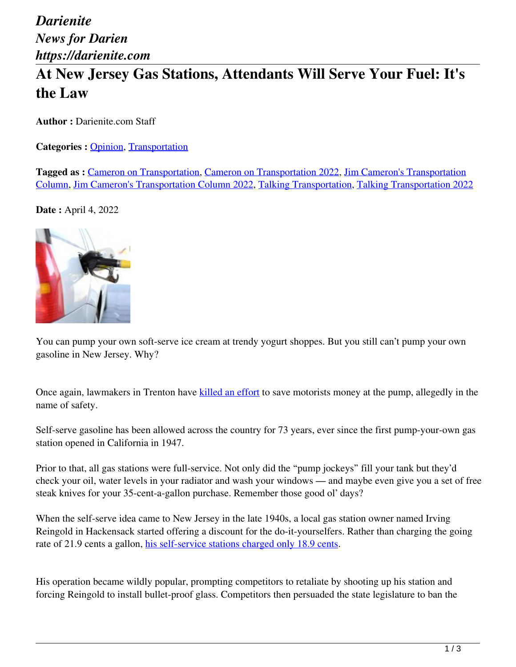## *Darienite News for Darien https://darienite.com*

## **At New Jersey Gas Stations, Attendants Will Serve Your Fuel: It's the Law**

**Author :** Darienite.com Staff

**Categories : [Opinion](https://darienite.com/category/opinion), Transportation** 

**Tagged as :** Cameron on Transportation, Cameron on Transportation 2022, Jim Cameron's Transportation Column, Jim Cameron's Transportation Column 2022, Talking Transportation, Talking Transportation 2022

**Date :** April 4, 2022



You can pump your own soft-serve ice cream at trendy yogurt shoppes. But you still can't pump your own gasoline in New Jersey. Why?

Once again, lawmakers in Trenton have killed an effort to save motorists money at the pump, allegedly in the name of safety.

Self-serve gasoline has been allowed across the country for 73 years, ever since the first pump-your-own gas station opened in California in 1947.

Prior to that, all gas stations were full-service. Not only did the "pump jockeys" fill your tank but they'd check your oil, water levels in your radiator and wash your windows — and maybe even give you a set of free steak knives for your 35-cent-a-gallon purchase. Remember those good ol' days?

When the self-serve idea came to New Jersey in the late 1940s, a local gas station owner named Irving Reingold in Hackensack started offering a discount for the do-it-yourselfers. Rather than charging the going rate of 21.9 cents a gallon, his self-service stations charged only 18.9 cents.

His operation became wildly popular, prompting competitors to retaliate by shooting up his station and forcing Reingold to install bullet-proof glass. Competitors then persuaded the state legislature to ban the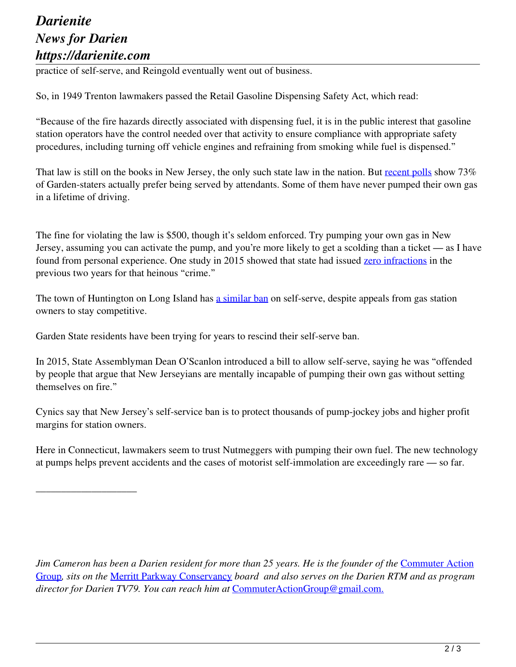## *Darienite News for Darien https://darienite.com*

\_\_\_\_\_\_\_\_\_\_\_\_\_\_\_\_\_\_\_\_

practice of self-serve, and Reingold eventually went out of business.

So, in 1949 Trenton lawmakers passed the Retail Gasoline Dispensing Safety Act, which read:

"Because of the fire hazards directly associated with dispensing fuel, it is in the public interest that gasoline station operators have the control needed over that activity to ensure compliance with appropriate safety procedures, including turning off vehicle engines and refraining from smoking while fuel is dispensed."

That law is still on the books in New Jersey, the only such state law in the nation. But recent polls show 73% of Garden-staters actually prefer being served by attendants. Some of them have never pumped their own gas in a lifetime of driving.

The fine for violating the law is \$500, though it's seldom enforced. Try pumping your own gas in New Jersey, assuming you can activate the pump, and you're more likely to get a scolding than a ticket — as I have found from personal experience. One study in 2015 showed that state had issued zero infractions in the previous two years for that heinous "crime."

The town of Huntington on Long Island has a similar ban on self-serve, despite appeals from gas station owners to stay competitive.

Garden State residents have been trying for years to rescind their self-serve ban.

In 2015, State Assemblyman Dean O'Scanlon introduced a bill to allow self-serve, saying he was "offended by people that argue that New Jerseyians are mentally incapable of pumping their own gas without setting themselves on fire."

Cynics say that New Jersey's self-service ban is to protect thousands of pump-jockey jobs and higher profit margins for station owners.

Here in Connecticut, lawmakers seem to trust Nutmeggers with pumping their own fuel. The new technology at pumps helps prevent accidents and the cases of motorist self-immolation are exceedingly rare — so far.

*Jim Cameron has been a Darien resident for more than 25 years. He is the founder of the Commuter Action* Group*, sits on the* Merritt Parkway Conservancy *board and also serves on the Darien RTM and as program* director for Darien TV79. You can reach him at **CommuterActionGroup@gmail.com.**